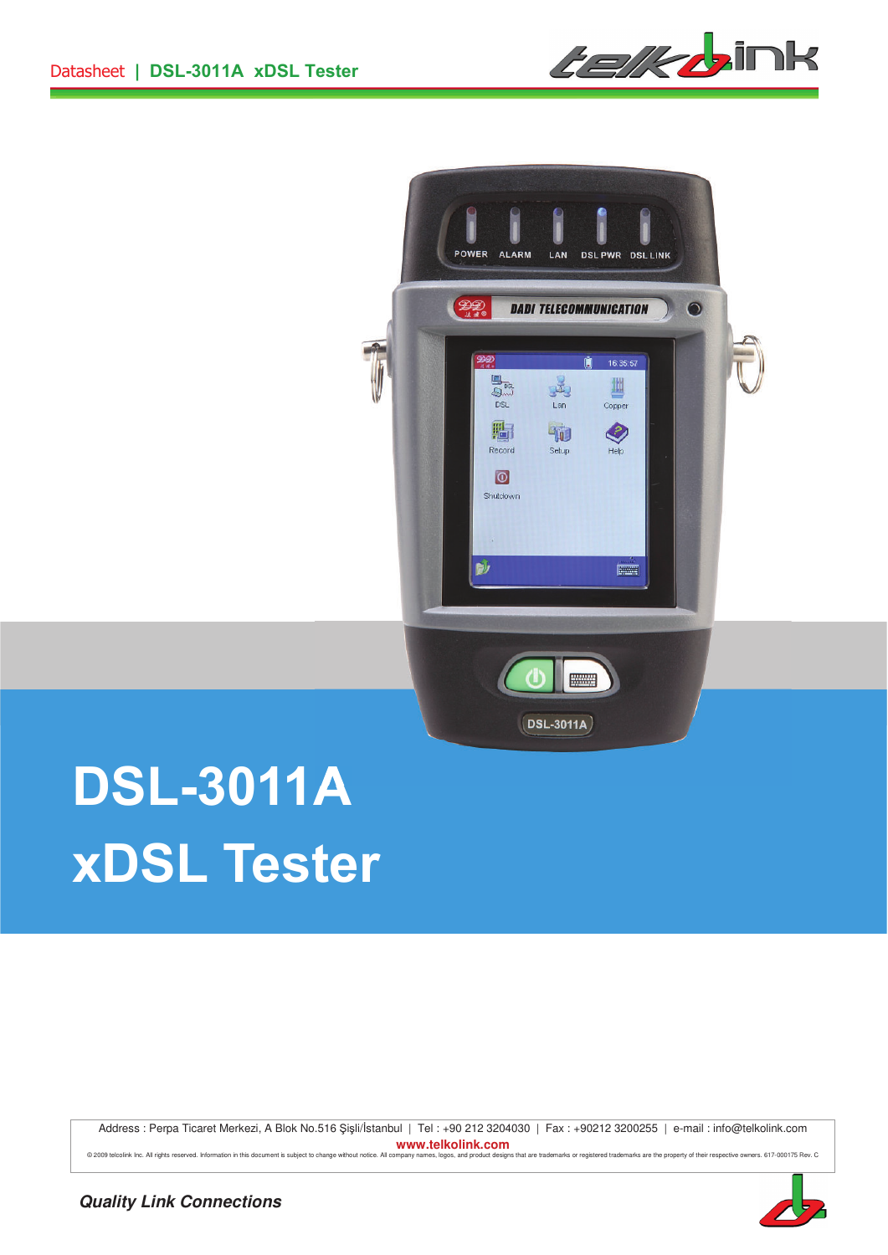*telkb*ink



# **DSL-3011A xDSL Tester**

Address : Perpa Ticaret Merkezi, A Blok No.516 Şişli/İstanbul | Tel : +90 212 3204030 | Fax : +90212 3200255 | e-mail : info@telkolink.com **www.telkolink.com** 

@ 2009 telociink Inc. All rights reserved. Information in this document is subject to change without notice. All company names, logos, and product designs that are trademarks or registered trademarks are the property of th

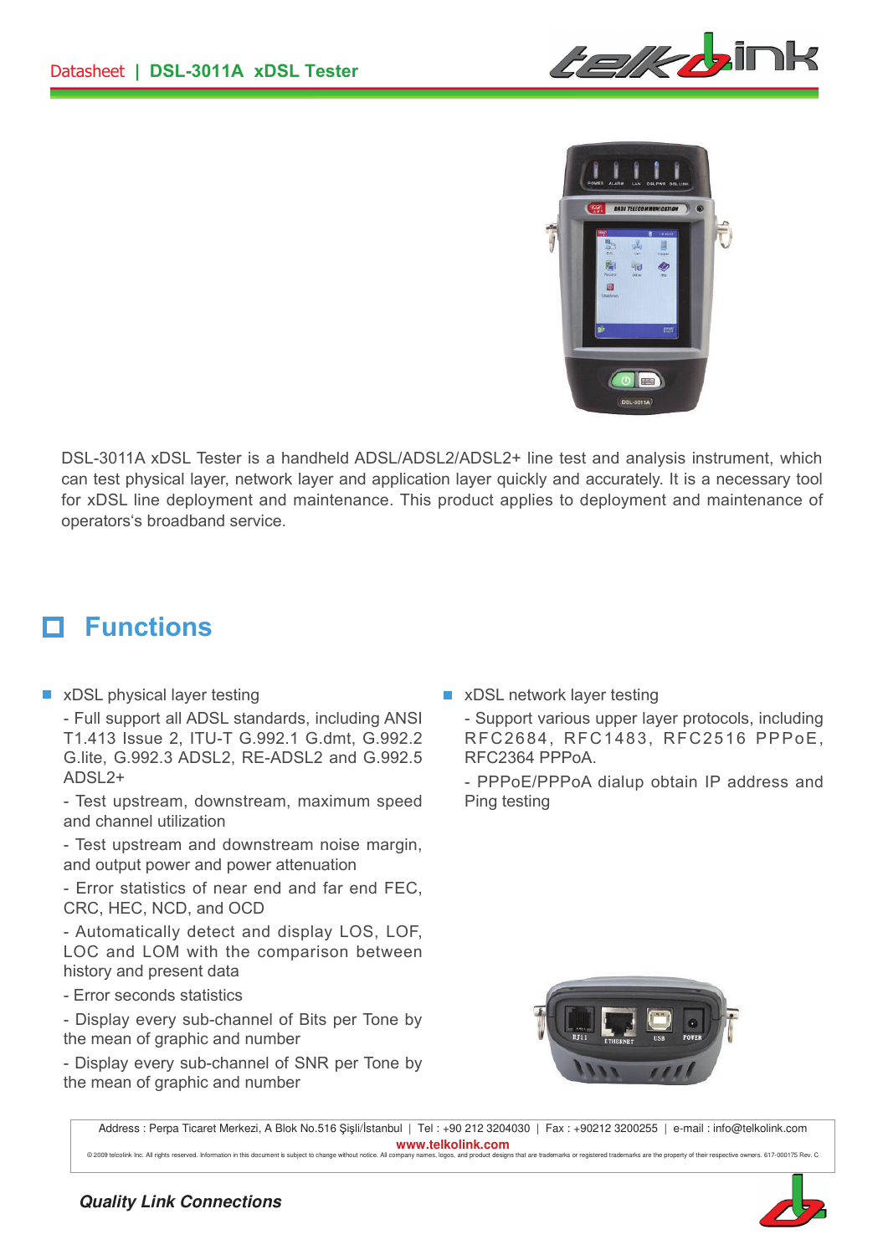*telkb*ink



DSL-3011A xDSL Tester is a handheld ADSL/ADSL2/ADSL2+ line test and analysis instrument, which can test physical layer, network layer and application layer quickly and accurately. It is a necessary tool for xDSL line deployment and maintenance. This product applies to deployment and maintenance of operators's broadband service.

#### **Functions** п

**No. 2** xDSL physical layer testing

- Full support all ADSL standards, including ANSI T1.413 Issue 2, ITU-T G.992.1 G.dmt, G.992.2 G.lite, G.992.3 ADSL2, RE-ADSL2 and G.992.5  $ADSI$ <sub>2+</sub>

- Test upstream, downstream, maximum speed and channel utilization

- Test upstream and downstream noise margin, and output power and power attenuation

- Error statistics of near end and far end FEC, CRC, HEC, NCD, and OCD

- Automatically detect and display LOS, LOF, LOC and LOM with the comparison between history and present data

- Error seconds statistics

- Display every sub-channel of Bits per Tone by the mean of graphic and number

- Display every sub-channel of SNR per Tone by the mean of graphic and number

**Now XDSL network layer testing** 

- Support various upper layer protocols, including RFC2684, RFC1483, RFC2516 PPPoE, RFC2364 PPPoA.

- PPPoE/PPPoA dialup obtain IP address and Ping testing



Address : Perpa Ticaret Merkezi, A Blok No.516 Şişli/İstanbul | Tel : +90 212 3204030 | Fax : +90212 3200255 | e-mail : info@telkolink.com **www.telkolink.com** 

© 2009 telcolink Inc. All rights reserved. Infor

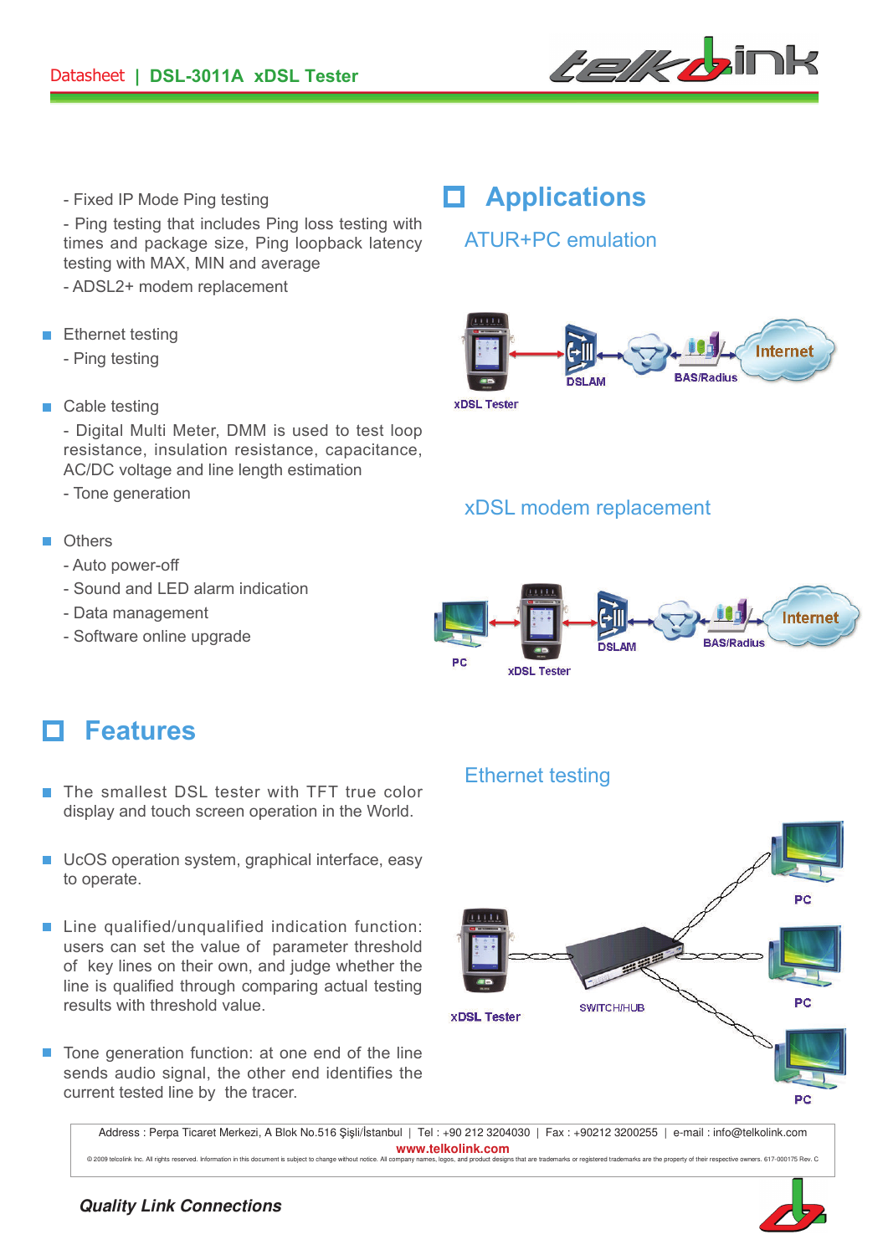

- Fixed IP Mode Ping testing

- Ping testing that includes Ping loss testing with times and package size, Ping loopback latency testing with MAX, MIN and average

- ADSL2+ modem replacement
- **Ethernet testing** 
	- Ping testing
- Cable testing

- Digital Multi Meter, DMM is used to test loop resistance, insulation resistance, capacitance, AC/DC voltage and line length estimation

- Tone generation

#### **n** Others

- Auto power-off
- Sound and LED alarm indication
- Data management
- Software online upgrade

### **Applications**

### ATUR+PC emulation



**xDSL Tester** 

### xDSL modem replacement



### **Features**

- The smallest DSL tester with TFT true color display and touch screen operation in the World.
- **UCOS** operation system, graphical interface, easy to operate.
- Line qualified/unqualified indication function: users can set the value of parameter threshold of key lines on their own, and judge whether the line is qualified through comparing actual testing results with threshold value.
- $\blacksquare$  Tone generation function: at one end of the line sends audio signal, the other end identifies the current tested line by the tracer.

#### Ethernet testing



Address : Perpa Ticaret Merkezi, A Blok No.516 Şişli/İstanbul | Tel : +90 212 3204030 | Fax : +90212 3200255 | e-mail : info@telkolink.com **www.telkolink.com** 

@ 2009 telcolink Inc. All rights reserved. Information in this document is subject to change without notice. All company names, logos, and product designs that are trademarks or registered trademarks are the property of th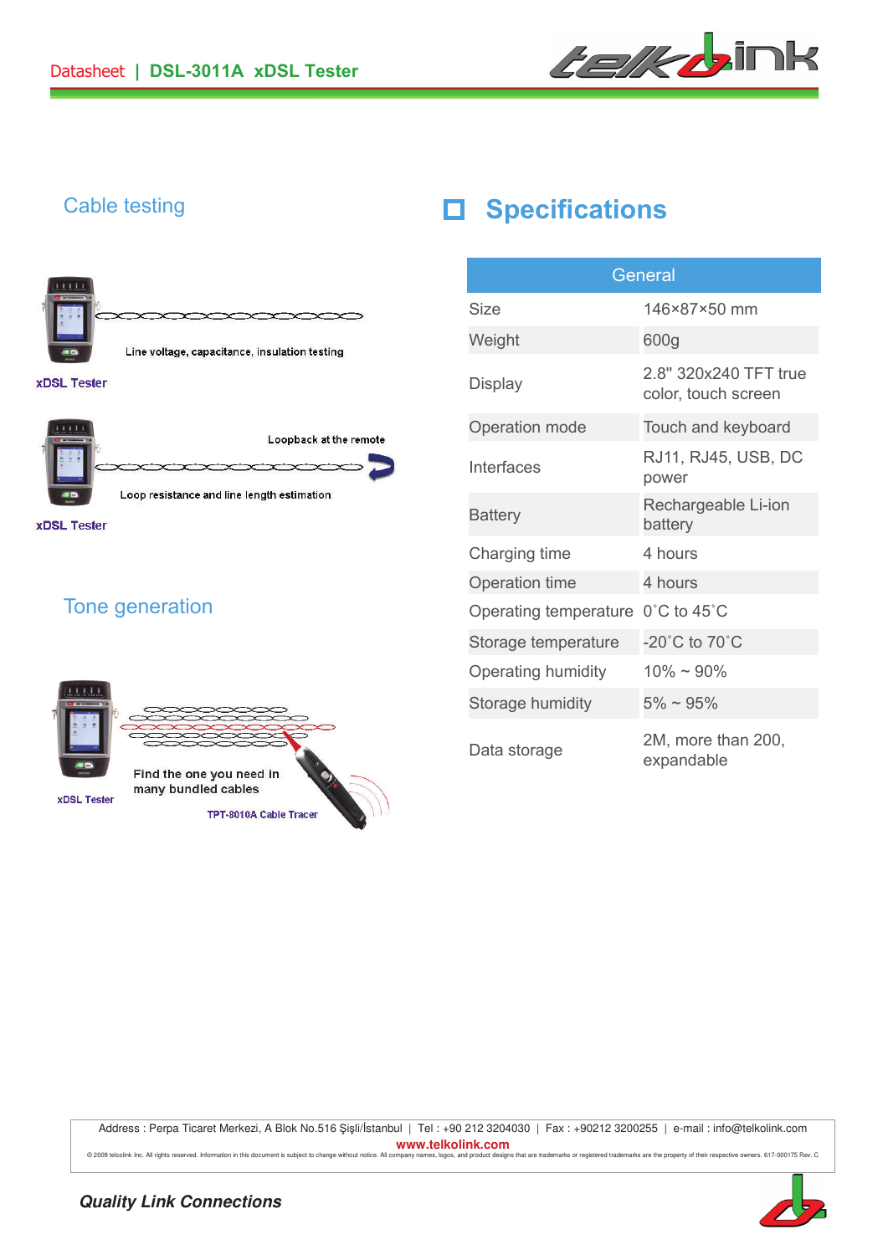





 $\infty$ Loop resistance and line length estimation

**xDSL Tester** 

### Tone generation



## Cable testing **Specifications**

| General               |                                              |  |
|-----------------------|----------------------------------------------|--|
| <b>Size</b>           | 146×87×50 mm                                 |  |
| Weight                | 600g                                         |  |
| Display               | 2.8" 320x240 TFT true<br>color, touch screen |  |
| Operation mode        | Touch and keyboard                           |  |
| Interfaces            | RJ11, RJ45, USB, DC<br>power                 |  |
| <b>Battery</b>        | Rechargeable Li-ion<br>battery               |  |
| Charging time         | 4 hours                                      |  |
| Operation time        | 4 hours                                      |  |
| Operating temperature | 0°C to 45°C                                  |  |
| Storage temperature   | -20°C to 70°C                                |  |
| Operating humidity    | $10\% \sim 90\%$                             |  |
| Storage humidity      | $5\% \sim 95\%$                              |  |
| Data storage          | 2M, more than 200,<br>expandable             |  |

Address : Perpa Ticaret Merkezi, A Blok No.516 Şişli/İstanbul | Tel : +90 212 3204030 | Fax : +90212 3200255 | e-mail : info@telkolink.com **www.telkolink.com**  @ 2009 telociink inc. All rights reserved. Information in this document is subject to change without notice. All company names, logos, and product designs that are trademarks or registered trademarks are the property of th